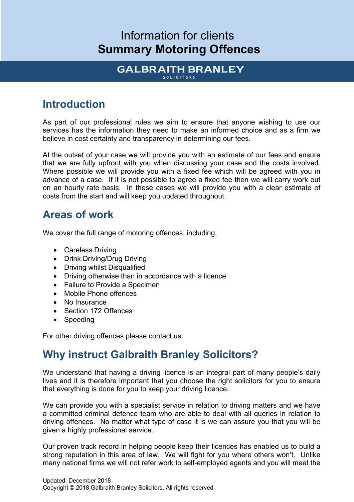# Information for clients **Summary Motoring Offences**

#### **GALBRAITH BRANLEY SOLICITORS**

## **Introduction**

As part of our professional rules we aim to ensure that anyone wishing to use our services has the information they need to make an informed choice and as a firm we believe in cost certainty and transparency in determining our fees.

At the outset of your case we will provide you with an estimate of our fees and ensure that we are fully upfront with you when discussing your case and the costs involved. Where possible we will provide you with a fixed fee which will be agreed with you in advance of a case. If it is not possible to agree a fixed fee then we will carry work out on an hourly rate basis. In these cases we will provide you with a clear estimate of costs from the start and will keep you updated throughout.

### **Areas of work**

We cover the full range of motoring offences, including;

- Careless Driving
- Drink Driving/Drug Driving
- Driving whilst Disqualified
- Driving otherwise than in accordance with a licence
- Failure to Provide a Specimen
- Mobile Phone offences
- No Insurance
- Section 172 Offences
- Speeding

For other driving offences please contact us.

## **Why instruct Galbraith Branley Solicitors?**

We understand that having a driving licence is an integral part of many people's daily lives and it is therefore important that you choose the right solicitors for you to ensure that everything is done for you to keep your driving licence.

We can provide you with a specialist service in relation to driving matters and we have a committed criminal defence team who are able to deal with all queries in relation to driving offences. No matter what type of case it is we can assure you that you will be given a highly professional service.

Our proven track record in helping people keep their licences has enabled us to build a strong reputation in this area of law. We will fight for you where others won't. Unlike many national firms we will not refer work to self-employed agents and you will meet the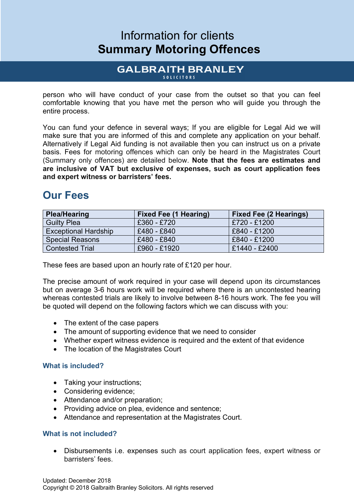# Information for clients **Summary Motoring Offences**

#### **GALBRAITH BRANLEY SOLICITORS**

person who will have conduct of your case from the outset so that you can feel comfortable knowing that you have met the person who will guide you through the entire process.

You can fund your defence in several ways; If you are eligible for Legal Aid we will make sure that you are informed of this and complete any application on your behalf. Alternatively if Legal Aid funding is not available then you can instruct us on a private basis. Fees for motoring offences which can only be heard in the Magistrates Court (Summary only offences) are detailed below. **Note that the fees are estimates and are inclusive of VAT but exclusive of expenses, such as court application fees and expert witness or barristers' fees.**

### **Our Fees**

| <b>Plea/Hearing</b>         | <b>Fixed Fee (1 Hearing)</b> | <b>Fixed Fee (2 Hearings)</b> |
|-----------------------------|------------------------------|-------------------------------|
| <b>Guilty Plea</b>          | £360 - £720                  | £720 - £1200                  |
| <b>Exceptional Hardship</b> | £480 - £840                  | £840 - £1200                  |
| <b>Special Reasons</b>      | £480 - £840                  | £840 - £1200                  |
| <b>Contested Trial</b>      | £960 - £1920                 | £1440 - £2400                 |

These fees are based upon an hourly rate of £120 per hour.

The precise amount of work required in your case will depend upon its circumstances but on average 3-6 hours work will be required where there is an uncontested hearing whereas contested trials are likely to involve between 8-16 hours work. The fee you will be quoted will depend on the following factors which we can discuss with you:

- The extent of the case papers
- The amount of supporting evidence that we need to consider
- Whether expert witness evidence is required and the extent of that evidence
- The location of the Magistrates Court

#### **What is included?**

- Taking your instructions;
- Considering evidence;
- Attendance and/or preparation;
- Providing advice on plea, evidence and sentence;
- Attendance and representation at the Magistrates Court.

#### **What is not included?**

• Disbursements i.e. expenses such as court application fees, expert witness or barristers' fees.